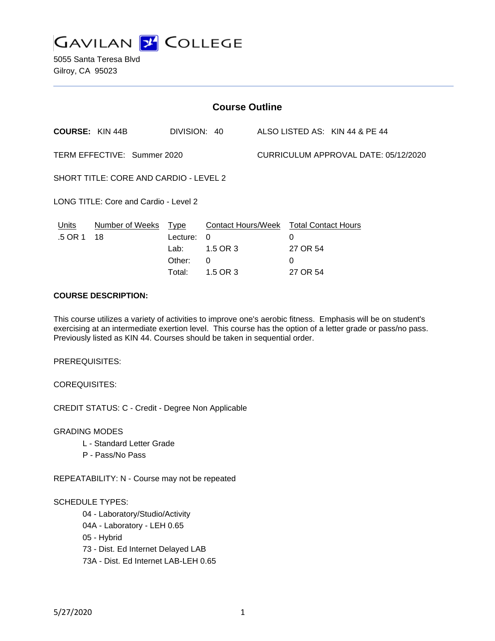

5055 Santa Teresa Blvd Gilroy, CA 95023

| <b>Course Outline</b>                  |                 |              |          |                                      |                                        |                                |
|----------------------------------------|-----------------|--------------|----------|--------------------------------------|----------------------------------------|--------------------------------|
| <b>COURSE: KIN 44B</b>                 |                 | DIVISION: 40 |          |                                      |                                        | ALSO LISTED AS: KIN 44 & PE 44 |
| TERM EFFECTIVE: Summer 2020            |                 |              |          | CURRICULUM APPROVAL DATE: 05/12/2020 |                                        |                                |
| SHORT TITLE: CORE AND CARDIO - LEVEL 2 |                 |              |          |                                      |                                        |                                |
| LONG TITLE: Core and Cardio - Level 2  |                 |              |          |                                      |                                        |                                |
| Units                                  | Number of Weeks | Type         |          |                                      | Contact Hours/Week Total Contact Hours |                                |
| .5 OR 1                                | 18              | Lecture:     | $\Omega$ |                                      | 0                                      |                                |
|                                        |                 | Lab:         | 1.5 OR 3 |                                      | 27 OR 54                               |                                |
|                                        |                 | Other:       | 0        |                                      | 0                                      |                                |
|                                        |                 | Total:       | 1.5 OR 3 |                                      | 27 OR 54                               |                                |

## **COURSE DESCRIPTION:**

This course utilizes a variety of activities to improve one's aerobic fitness. Emphasis will be on student's exercising at an intermediate exertion level. This course has the option of a letter grade or pass/no pass. Previously listed as KIN 44. Courses should be taken in sequential order.

PREREQUISITES:

COREQUISITES:

CREDIT STATUS: C - Credit - Degree Non Applicable

GRADING MODES

- L Standard Letter Grade
- P Pass/No Pass

REPEATABILITY: N - Course may not be repeated

#### SCHEDULE TYPES:

04 - Laboratory/Studio/Activity

- 04A Laboratory LEH 0.65
- 05 Hybrid

73 - Dist. Ed Internet Delayed LAB

73A - Dist. Ed Internet LAB-LEH 0.65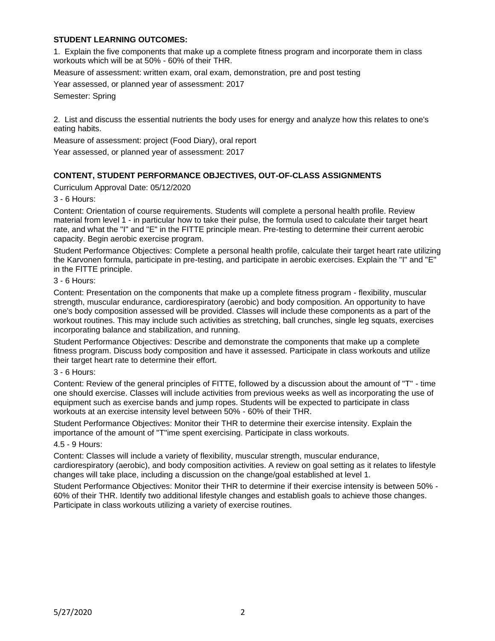## **STUDENT LEARNING OUTCOMES:**

1. Explain the five components that make up a complete fitness program and incorporate them in class workouts which will be at 50% - 60% of their THR.

Measure of assessment: written exam, oral exam, demonstration, pre and post testing

Year assessed, or planned year of assessment: 2017

Semester: Spring

2. List and discuss the essential nutrients the body uses for energy and analyze how this relates to one's eating habits.

Measure of assessment: project (Food Diary), oral report

Year assessed, or planned year of assessment: 2017

# **CONTENT, STUDENT PERFORMANCE OBJECTIVES, OUT-OF-CLASS ASSIGNMENTS**

Curriculum Approval Date: 05/12/2020

3 - 6 Hours:

Content: Orientation of course requirements. Students will complete a personal health profile. Review material from level 1 - in particular how to take their pulse, the formula used to calculate their target heart rate, and what the "I" and "E" in the FITTE principle mean. Pre-testing to determine their current aerobic capacity. Begin aerobic exercise program.

Student Performance Objectives: Complete a personal health profile, calculate their target heart rate utilizing the Karvonen formula, participate in pre-testing, and participate in aerobic exercises. Explain the "I" and "E" in the FITTE principle.

3 - 6 Hours:

Content: Presentation on the components that make up a complete fitness program - flexibility, muscular strength, muscular endurance, cardiorespiratory (aerobic) and body composition. An opportunity to have one's body composition assessed will be provided. Classes will include these components as a part of the workout routines. This may include such activities as stretching, ball crunches, single leg squats, exercises incorporating balance and stabilization, and running.

Student Performance Objectives: Describe and demonstrate the components that make up a complete fitness program. Discuss body composition and have it assessed. Participate in class workouts and utilize their target heart rate to determine their effort.

## 3 - 6 Hours:

Content: Review of the general principles of FITTE, followed by a discussion about the amount of "T" - time one should exercise. Classes will include activities from previous weeks as well as incorporating the use of equipment such as exercise bands and jump ropes. Students will be expected to participate in class workouts at an exercise intensity level between 50% - 60% of their THR.

Student Performance Objectives: Monitor their THR to determine their exercise intensity. Explain the importance of the amount of "T"ime spent exercising. Participate in class workouts.

#### 4.5 - 9 Hours:

Content: Classes will include a variety of flexibility, muscular strength, muscular endurance, cardiorespiratory (aerobic), and body composition activities. A review on goal setting as it relates to lifestyle changes will take place, including a discussion on the change/goal established at level 1.

Student Performance Objectives: Monitor their THR to determine if their exercise intensity is between 50% - 60% of their THR. Identify two additional lifestyle changes and establish goals to achieve those changes. Participate in class workouts utilizing a variety of exercise routines.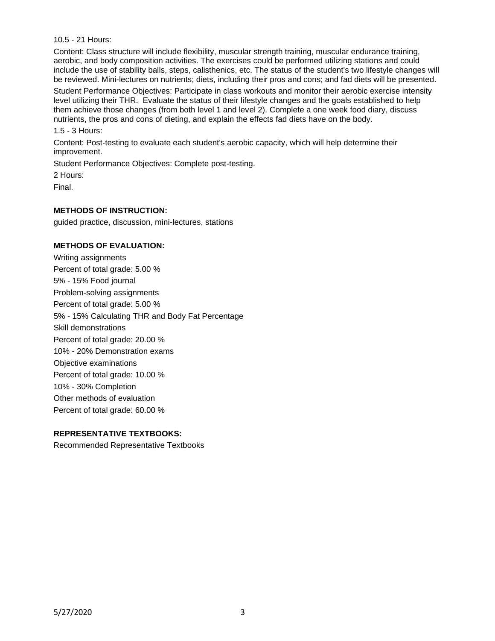10.5 - 21 Hours:

Content: Class structure will include flexibility, muscular strength training, muscular endurance training, aerobic, and body composition activities. The exercises could be performed utilizing stations and could include the use of stability balls, steps, calisthenics, etc. The status of the student's two lifestyle changes will be reviewed. Mini-lectures on nutrients; diets, including their pros and cons; and fad diets will be presented.

Student Performance Objectives: Participate in class workouts and monitor their aerobic exercise intensity level utilizing their THR. Evaluate the status of their lifestyle changes and the goals established to help them achieve those changes (from both level 1 and level 2). Complete a one week food diary, discuss nutrients, the pros and cons of dieting, and explain the effects fad diets have on the body.

1.5 - 3 Hours:

Content: Post-testing to evaluate each student's aerobic capacity, which will help determine their improvement.

Student Performance Objectives: Complete post-testing.

2 Hours:

Final.

## **METHODS OF INSTRUCTION:**

guided practice, discussion, mini-lectures, stations

## **METHODS OF EVALUATION:**

Writing assignments Percent of total grade: 5.00 % 5% - 15% Food journal Problem-solving assignments Percent of total grade: 5.00 % 5% - 15% Calculating THR and Body Fat Percentage Skill demonstrations Percent of total grade: 20.00 % 10% - 20% Demonstration exams Objective examinations Percent of total grade: 10.00 % 10% - 30% Completion Other methods of evaluation Percent of total grade: 60.00 %

## **REPRESENTATIVE TEXTBOOKS:**

Recommended Representative Textbooks